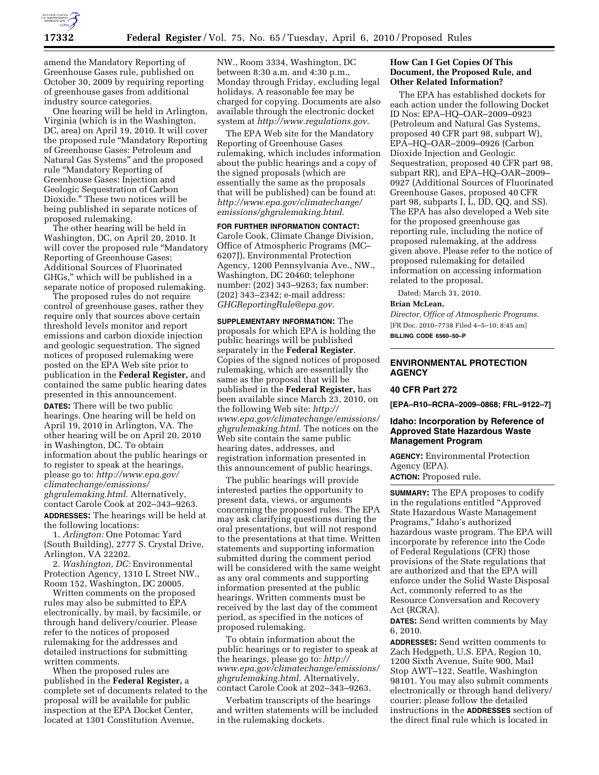

amend the Mandatory Reporting of Greenhouse Gases rule, published on October 30, 2009 by requiring reporting of greenhouse gases from additional industry source categories.

One hearing will be held in Arlington, Virginia (which is in the Washington, DC, area) on April 19, 2010. It will cover the proposed rule ''Mandatory Reporting of Greenhouse Gases: Petroleum and Natural Gas Systems'' and the proposed rule ''Mandatory Reporting of Greenhouse Gases: Injection and Geologic Sequestration of Carbon Dioxide.'' These two notices will be being published in separate notices of proposed rulemaking.

The other hearing will be held in Washington, DC, on April 20, 2010. It will cover the proposed rule "Mandatory Reporting of Greenhouse Gases: Additional Sources of Fluorinated GHGs,'' which will be published in a separate notice of proposed rulemaking.

The proposed rules do not require control of greenhouse gases, rather they require only that sources above certain threshold levels monitor and report emissions and carbon dioxide injection and geologic sequestration. The signed notices of proposed rulemaking were posted on the EPA Web site prior to publication in the **Federal Register,** and contained the same public hearing dates presented in this announcement. **DATES:** There will be two public hearings. One hearing will be held on April 19, 2010 in Arlington, VA. The other hearing will be on April 20, 2010 in Washington, DC. To obtain information about the public hearings or to register to speak at the hearings, please go to: *http://www.epa.gov/ climatechange/emissions/ ghgrulemaking.html*. Alternatively, contact Carole Cook at 202–343–9263. **ADDRESSES:** The hearings will be held at the following locations:

1. *Arlington:* One Potomac Yard (South Building), 2777 S. Crystal Drive, Arlington, VA 22202.

2. *Washington, DC:* Environmental Protection Agency, 1310 L Street NW., Room 152, Washington, DC 20005.

Written comments on the proposed rules may also be submitted to EPA electronically, by mail, by facsimile, or through hand delivery/courier. Please refer to the notices of proposed rulemaking for the addresses and detailed instructions for submitting written comments.

When the proposed rules are published in the **Federal Register,** a complete set of documents related to the proposal will be available for public inspection at the EPA Docket Center, located at 1301 Constitution Avenue,

NW., Room 3334, Washington, DC between 8:30 a.m. and 4:30 p.m., Monday through Friday, excluding legal holidays. A reasonable fee may be charged for copying. Documents are also available through the electronic docket system at *http://www.regulations.gov*.

The EPA Web site for the Mandatory Reporting of Greenhouse Gases rulemaking, which includes information about the public hearings and a copy of the signed proposals (which are essentially the same as the proposals that will be published) can be found at: *http://www.epa.gov/climatechange/ emissions/ghgrulemaking.html*.

**FOR FURTHER INFORMATION CONTACT:**  Carole Cook, Climate Change Division, Office of Atmospheric Programs (MC– 6207J), Environmental Protection Agency, 1200 Pennsylvania Ave., NW., Washington, DC 20460; telephone number: (202) 343–9263; fax number: (202) 343–2342; e-mail address: *GHGReportingRule@epa.gov*.

**SUPPLEMENTARY INFORMATION:** The proposals for which EPA is holding the public hearings will be published separately in the **Federal Register**. Copies of the signed notices of proposed rulemaking, which are essentially the same as the proposal that will be published in the **Federal Register,** has been available since March 23, 2010, on the following Web site: *http:// www.epa.gov/climatechange/emissions/ ghgrulemaking.html*. The notices on the Web site contain the same public hearing dates, addresses, and registration information presented in this announcement of public hearings.

The public hearings will provide interested parties the opportunity to present data, views, or arguments concerning the proposed rules. The EPA may ask clarifying questions during the oral presentations, but will not respond to the presentations at that time. Written statements and supporting information submitted during the comment period will be considered with the same weight as any oral comments and supporting information presented at the public hearings. Written comments must be received by the last day of the comment period, as specified in the notices of proposed rulemaking.

To obtain information about the public hearings or to register to speak at the hearings, please go to: *http:// www.epa.gov/climatechange/emissions/ ghgrulemaking.html*. Alternatively, contact Carole Cook at 202–343–9263.

Verbatim transcripts of the hearings and written statements will be included in the rulemaking dockets.

## **How Can I Get Copies Of This Document, the Proposed Rule, and Other Related Information?**

The EPA has established dockets for each action under the following Docket ID Nos: EPA–HQ–OAR–2009–0923 (Petroleum and Natural Gas Systems, proposed 40 CFR part 98, subpart W), EPA–HQ–OAR–2009–0926 (Carbon Dioxide Injection and Geologic Sequestration, proposed 40 CFR part 98, subpart RR), and EPA–HQ–OAR–2009– 0927 (Additional Sources of Fluorinated Greenhouse Gases, proposed 40 CFR part 98, subparts I, L, DD, QQ, and SS). The EPA has also developed a Web site for the proposed greenhouse gas reporting rule, including the notice of proposed rulemaking, at the address given above. Please refer to the notice of proposed rulemaking for detailed information on accessing information related to the proposal.

Dated: March 31, 2010.

#### **Brian McLean,**

*Director, Office of Atmospheric Programs.*  [FR Doc. 2010–7738 Filed 4–5–10; 8:45 am] **BILLING CODE 6560–50–P** 

#### **ENVIRONMENTAL PROTECTION AGENCY**

## **40 CFR Part 272**

**[EPA–R10–RCRA–2009–0868; FRL–9122–7]** 

#### **Idaho: Incorporation by Reference of Approved State Hazardous Waste Management Program**

**AGENCY:** Environmental Protection Agency (EPA).

**ACTION:** Proposed rule.

**SUMMARY:** The EPA proposes to codify in the regulations entitled ''Approved State Hazardous Waste Management Programs,'' Idaho's authorized hazardous waste program. The EPA will incorporate by reference into the Code of Federal Regulations (CFR) those provisions of the State regulations that are authorized and that the EPA will enforce under the Solid Waste Disposal Act, commonly referred to as the Resource Conversation and Recovery Act (RCRA).

**DATES:** Send written comments by May 6, 2010.

**ADDRESSES:** Send written comments to Zach Hedgpeth, U.S. EPA, Region 10, 1200 Sixth Avenue, Suite 900, Mail Stop AWT–122, Seattle, Washington 98101. You may also submit comments electronically or through hand delivery/ courier; please follow the detailed instructions in the **ADDRESSES** section of the direct final rule which is located in